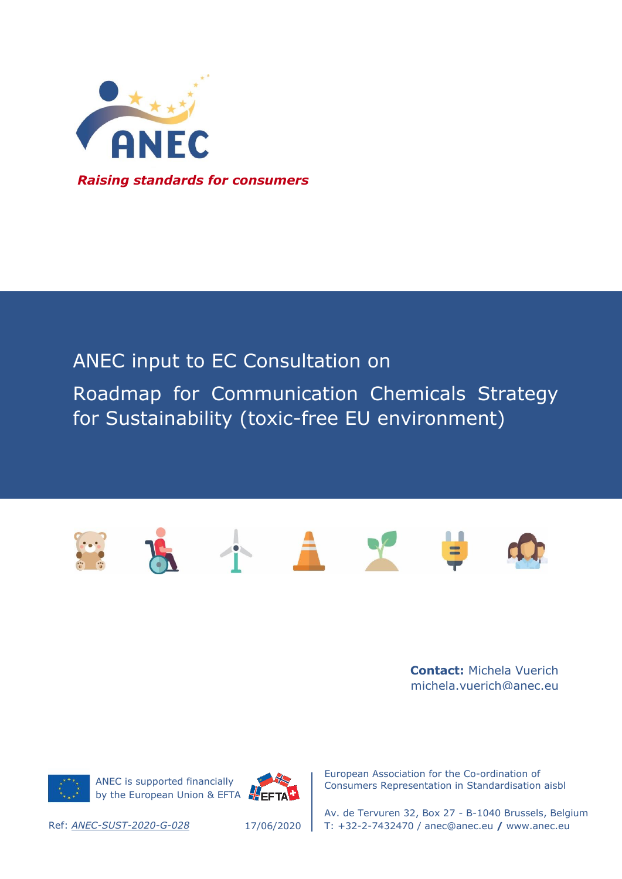

## ANEC input to EC Consultation on

Roadmap for Communication Chemicals Strategy for Sustainability (toxic-free EU environment)



**Contact:** Michela Vuerich michela.vuerich@anec.eu



ANEC is supported financially by the European Union & EFTA



European Association for the Co-ordination of Consumers Representation in Standardisation aisbl

Av. de Tervuren 32, Box 27 - B-1040 Brussels, Belgium Ref: *ANEC-SUST-2020-G-028* T: +32-2-7432470 / anec@anec.eu **/** www.anec.eu

17/06/2020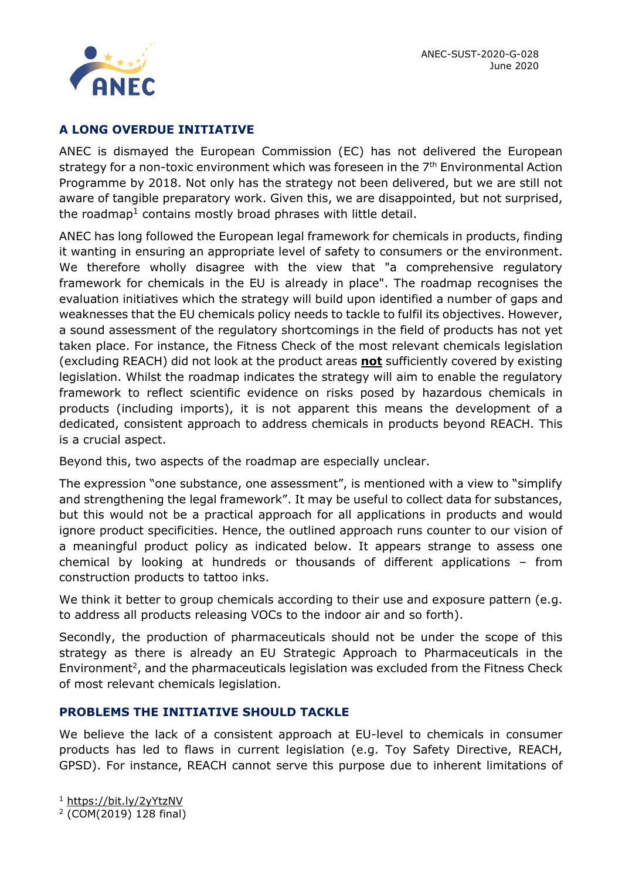

## **A LONG OVERDUE INITIATIVE**

ANEC is dismayed the European Commission (EC) has not delivered the European strategy for a non-toxic environment which was foreseen in the  $7<sup>th</sup>$  Environmental Action Programme by 2018. Not only has the strategy not been delivered, but we are still not aware of tangible preparatory work. Given this, we are disappointed, but not surprised, the roadmap<sup>1</sup> contains mostly broad phrases with little detail.

ANEC has long followed the European legal framework for chemicals in products, finding it wanting in ensuring an appropriate level of safety to consumers or the environment. We therefore wholly disagree with the view that "a comprehensive regulatory framework for chemicals in the EU is already in place". The roadmap recognises the evaluation initiatives which the strategy will build upon identified a number of gaps and weaknesses that the EU chemicals policy needs to tackle to fulfil its objectives. However, a sound assessment of the regulatory shortcomings in the field of products has not yet taken place. For instance, the Fitness Check of the most relevant chemicals legislation (excluding REACH) did not look at the product areas **not** sufficiently covered by existing legislation. Whilst the roadmap indicates the strategy will aim to enable the regulatory framework to reflect scientific evidence on risks posed by hazardous chemicals in products (including imports), it is not apparent this means the development of a dedicated, consistent approach to address chemicals in products beyond REACH. This is a crucial aspect.

Beyond this, two aspects of the roadmap are especially unclear.

The expression "one substance, one assessment", is mentioned with a view to "simplify and strengthening the legal framework". It may be useful to collect data for substances, but this would not be a practical approach for all applications in products and would ignore product specificities. Hence, the outlined approach runs counter to our vision of a meaningful product policy as indicated below. It appears strange to assess one chemical by looking at hundreds or thousands of different applications – from construction products to tattoo inks.

We think it better to group chemicals according to their use and exposure pattern (e.g. to address all products releasing VOCs to the indoor air and so forth).

Secondly, the production of pharmaceuticals should not be under the scope of this strategy as there is already an EU Strategic Approach to Pharmaceuticals in the  $Environment<sup>2</sup>$ , and the pharmaceuticals legislation was excluded from the Fitness Check of most relevant chemicals legislation.

## **PROBLEMS THE INITIATIVE SHOULD TACKLE**

We believe the lack of a consistent approach at EU-level to chemicals in consumer products has led to flaws in current legislation (e.g. Toy Safety Directive, REACH, GPSD). For instance, REACH cannot serve this purpose due to inherent limitations of

<sup>1</sup> <https://bit.ly/2yYtzNV>

<sup>2</sup> (COM(2019) 128 final)